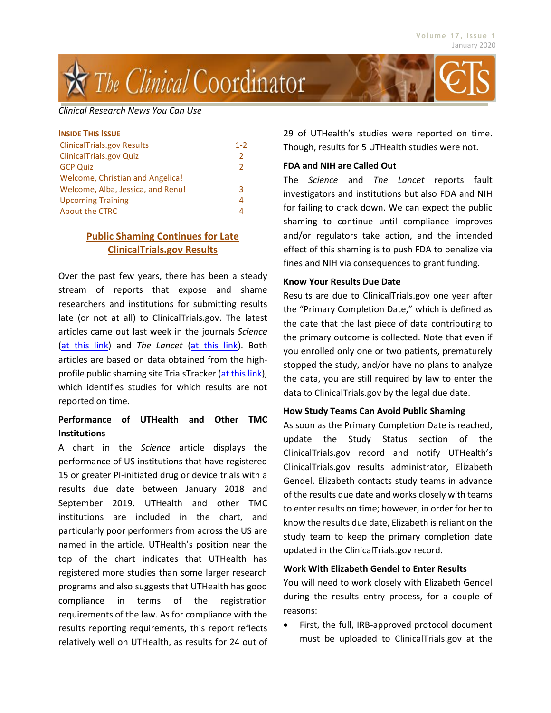# į The Clinical Coordinator

#### *Clinical Research News You Can Use*

| <b>INSIDE THIS ISSUE</b>          |               |
|-----------------------------------|---------------|
| <b>ClinicalTrials.gov Results</b> | $1 - 2$       |
| <b>ClinicalTrials.gov Quiz</b>    | $\mathcal{P}$ |
| <b>GCP Quiz</b>                   | $\mathcal{P}$ |
| Welcome, Christian and Angelica!  |               |
| Welcome, Alba, Jessica, and Renu! | 3             |
| <b>Upcoming Training</b>          | 4             |
| <b>About the CTRC</b>             |               |

# **Public Shaming Continues for Late ClinicalTrials.gov Results**

Over the past few years, there has been a steady stream of reports that expose and shame researchers and institutions for submitting results late (or not at all) to ClinicalTrials.gov. The latest articles came out last week in the journals *Science* [\(at this link\)](https://www.sciencemag.org/news/2020/01/fda-and-nih-let-clinical-trial-sponsors-keep-results-secret-and-break-law) and *The Lancet* [\(at this link\)](https://www.thelancet.com/journals/lancet/article/PIIS0140-6736(19)33220-9/fulltext). Both articles are based on data obtained from the highprofile public shaming site TrialsTracker [\(at this link\)](https://fdaaa.trialstracker.net/), which identifies studies for which results are not reported on time.

# **Performance of UTHealth and Other TMC Institutions**

A chart in the *Science* article displays the performance of US institutions that have registered 15 or greater PI-initiated drug or device trials with a results due date between January 2018 and September 2019. UTHealth and other TMC institutions are included in the chart, and particularly poor performers from across the US are named in the article. UTHealth's position near the top of the chart indicates that UTHealth has registered more studies than some larger research programs and also suggests that UTHealth has good compliance in terms of the registration requirements of the law. As for compliance with the results reporting requirements, this report reflects relatively well on UTHealth, as results for 24 out of 29 of UTHealth's studies were reported on time. Though, results for 5 UTHealth studies were not.

### **FDA and NIH are Called Out**

The *Science* and *The Lancet* reports fault investigators and institutions but also FDA and NIH for failing to crack down. We can expect the public shaming to continue until compliance improves and/or regulators take action, and the intended effect of this shaming is to push FDA to penalize via fines and NIH via consequences to grant funding.

### **Know Your Results Due Date**

Results are due to ClinicalTrials.gov one year after the "Primary Completion Date," which is defined as the date that the last piece of data contributing to the primary outcome is collected. Note that even if you enrolled only one or two patients, prematurely stopped the study, and/or have no plans to analyze the data, you are still required by law to enter the data to ClinicalTrials.gov by the legal due date.

### **How Study Teams Can Avoid Public Shaming**

As soon as the Primary Completion Date is reached, update the Study Status section of the ClinicalTrials.gov record and notify UTHealth's ClinicalTrials.gov results administrator, Elizabeth Gendel. Elizabeth contacts study teams in advance of the results due date and works closely with teams to enter results on time; however, in order for her to know the results due date, Elizabeth is reliant on the study team to keep the primary completion date updated in the ClinicalTrials.gov record.

### **Work With Elizabeth Gendel to Enter Results**

You will need to work closely with Elizabeth Gendel during the results entry process, for a couple of reasons:

 First, the full, IRB-approved protocol document must be uploaded to ClinicalTrials.gov at the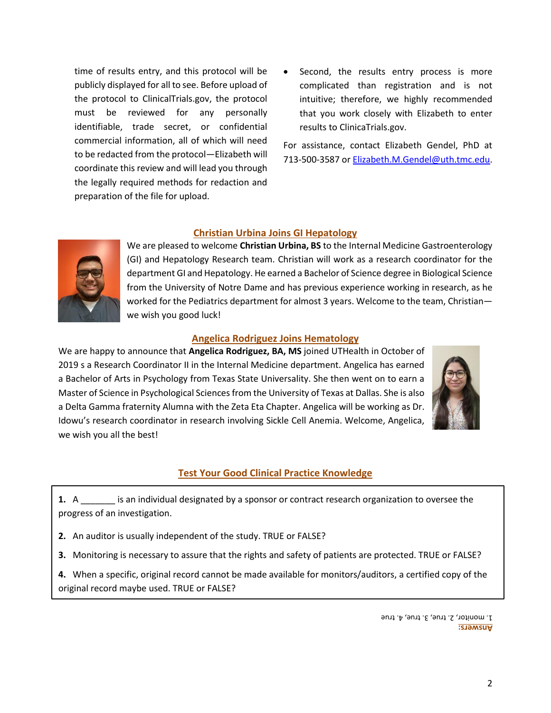time of results entry, and this protocol will be publicly displayed for all to see. Before upload of the protocol to ClinicalTrials.gov, the protocol must be reviewed for any personally identifiable, trade secret, or confidential commercial information, all of which will need to be redacted from the protocol—Elizabeth will coordinate this review and will lead you through the legally required methods for redaction and preparation of the file for upload.

 Second, the results entry process is more complicated than registration and is not intuitive; therefore, we highly recommended that you work closely with Elizabeth to enter results to ClinicaTrials.gov.

For assistance, contact Elizabeth Gendel, PhD at 713-500-3587 or [Elizabeth.M.Gendel@uth.tmc.edu.](mailto:Elizabeth.M.Gendel@uth.tmc.edu)

## **Christian Urbina Joins GI Hepatology**



We are pleased to welcome **Christian Urbina, BS** to the Internal Medicine Gastroenterology (GI) and Hepatology Research team. Christian will work as a research coordinator for the department GI and Hepatology. He earned a Bachelor of Science degree in Biological Science from the University of Notre Dame and has previous experience working in research, as he worked for the Pediatrics department for almost 3 years. Welcome to the team, Christian we wish you good luck!

### **Angelica Rodriguez Joins Hematology**

We are happy to announce that **Angelica Rodriguez, BA, MS** joined UTHealth in October of 2019 s a Research Coordinator II in the Internal Medicine department. Angelica has earned a Bachelor of Arts in Psychology from Texas State Universality. She then went on to earn a Master of Science in Psychological Sciences from the University of Texas at Dallas. She is also a Delta Gamma fraternity Alumna with the Zeta Eta Chapter. Angelica will be working as Dr. Idowu's research coordinator in research involving Sickle Cell Anemia. Welcome, Angelica, we wish you all the best!



### **Test Your Good Clinical Practice Knowledge**

**1.** A \_\_\_\_\_\_\_ is an individual designated by a sponsor or contract research organization to oversee the progress of an investigation.

- **2.** An auditor is usually independent of the study. TRUE or FALSE?
- **3.** Monitoring is necessary to assure that the rights and safety of patients are protected. TRUE or FALSE?

**4.** When a specific, original record cannot be made available for monitors/auditors, a certified copy of the original record maybe used. TRUE or FALSE?

> **Answers:**  $1.$  monitor,  $2.$  true,  $3.$  true,  $4.$  true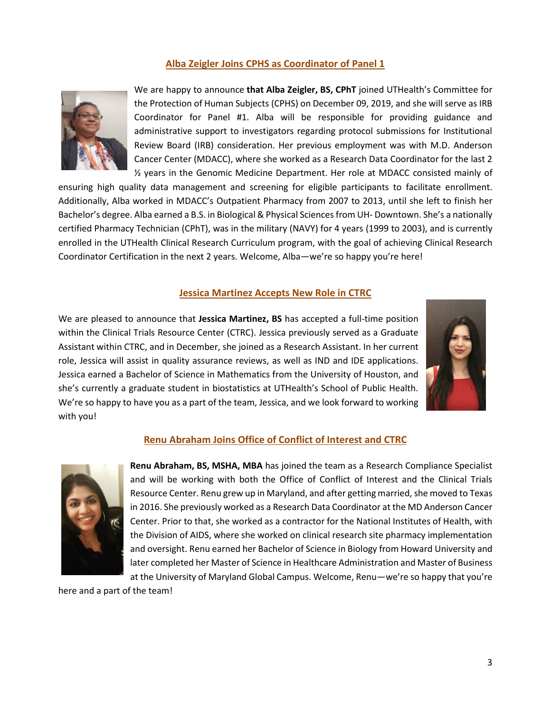# **Alba Zeigler Joins CPHS as Coordinator of Panel 1**



We are happy to announce **that Alba Zeigler, BS, CPhT** joined UTHealth's Committee for the Protection of Human Subjects (CPHS) on December 09, 2019, and she will serve as IRB Coordinator for Panel #1. Alba will be responsible for providing guidance and administrative support to investigators regarding protocol submissions for Institutional Review Board (IRB) consideration. Her previous employment was with M.D. Anderson Cancer Center (MDACC), where she worked as a Research Data Coordinator for the last 2 ½ years in the Genomic Medicine Department. Her role at MDACC consisted mainly of

ensuring high quality data management and screening for eligible participants to facilitate enrollment. Additionally, Alba worked in MDACC's Outpatient Pharmacy from 2007 to 2013, until she left to finish her Bachelor's degree. Alba earned a B.S. in Biological & Physical Sciences from UH- Downtown. She's a nationally certified Pharmacy Technician (CPhT), was in the military (NAVY) for 4 years (1999 to 2003), and is currently enrolled in the UTHealth Clinical Research Curriculum program, with the goal of achieving Clinical Research Coordinator Certification in the next 2 years. Welcome, Alba—we're so happy you're here!

### **Jessica Martinez Accepts New Role in CTRC**

We are pleased to announce that **Jessica Martinez, BS** has accepted a full-time position within the Clinical Trials Resource Center (CTRC). Jessica previously served as a Graduate Assistant within CTRC, and in December, she joined as a Research Assistant. In her current role, Jessica will assist in quality assurance reviews, as well as IND and IDE applications. Jessica earned a Bachelor of Science in Mathematics from the University of Houston, and she's currently a graduate student in biostatistics at UTHealth's School of Public Health. We're so happy to have you as a part of the team, Jessica, and we look forward to working with you!



### **Renu Abraham Joins Office of Conflict of Interest and CTRC**



**Renu Abraham, BS, MSHA, MBA** has joined the team as a Research Compliance Specialist and will be working with both the Office of Conflict of Interest and the Clinical Trials Resource Center. Renu grew up in Maryland, and after getting married, she moved to Texas in 2016. She previously worked as a Research Data Coordinator at the MD Anderson Cancer Center. Prior to that, she worked as a contractor for the National Institutes of Health, with the Division of AIDS, where she worked on clinical research site pharmacy implementation and oversight. Renu earned her Bachelor of Science in Biology from Howard University and later completed her Master of Science in Healthcare Administration and Master of Business at the University of Maryland Global Campus. Welcome, Renu—we're so happy that you're

here and a part of the team!